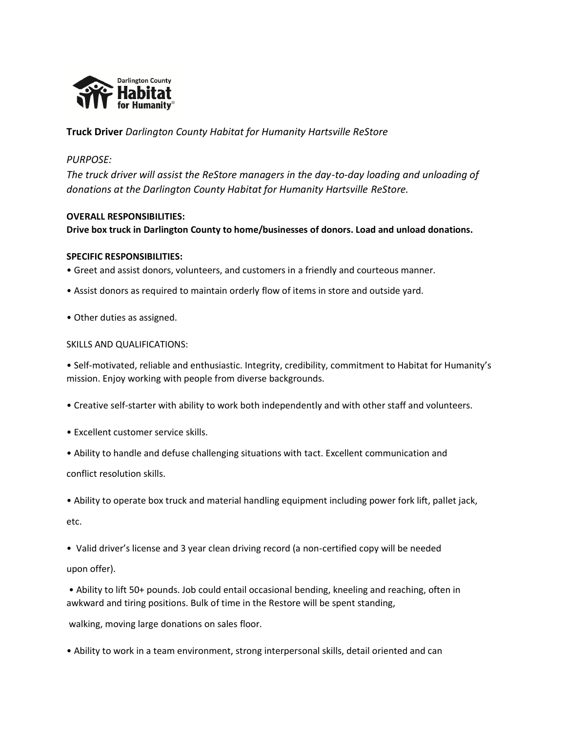

**Truck Driver** *Darlington County Habitat for Humanity Hartsville ReStore*

## *PURPOSE:*

*The truck driver will assist the ReStore managers in the day-to-day loading and unloading of donations at the Darlington County Habitat for Humanity Hartsville ReStore.*

### **OVERALL RESPONSIBILITIES:**

**Drive box truck in Darlington County to home/businesses of donors. Load and unload donations.**

#### **SPECIFIC RESPONSIBILITIES:**

- Greet and assist donors, volunteers, and customers in a friendly and courteous manner.
- Assist donors as required to maintain orderly flow of items in store and outside yard.
- Other duties as assigned.

#### SKILLS AND QUALIFICATIONS:

• Self-motivated, reliable and enthusiastic. Integrity, credibility, commitment to Habitat for Humanity's mission. Enjoy working with people from diverse backgrounds.

- Creative self-starter with ability to work both independently and with other staff and volunteers.
- Excellent customer service skills.
- Ability to handle and defuse challenging situations with tact. Excellent communication and

conflict resolution skills.

• Ability to operate box truck and material handling equipment including power fork lift, pallet jack,

etc.

• Valid driver's license and 3 year clean driving record (a non-certified copy will be needed upon offer).

• Ability to lift 50+ pounds. Job could entail occasional bending, kneeling and reaching, often in awkward and tiring positions. Bulk of time in the Restore will be spent standing,

walking, moving large donations on sales floor.

• Ability to work in a team environment, strong interpersonal skills, detail oriented and can